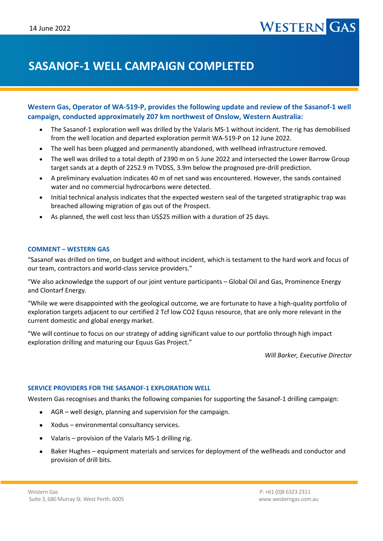# **SASANOF-1 WELL CAMPAIGN COMPLETED**

# **Western Gas, Operator of WA-519-P, provides the following update and review of the Sasanof-1 well campaign, conducted approximately 207 km northwest of Onslow, Western Australia:**

- The Sasanof-1 exploration well was drilled by the Valaris MS-1 without incident. The rig has demobilised from the well location and departed exploration permit WA-519-P on 12 June 2022.
- The well has been plugged and permanently abandoned, with wellhead infrastructure removed.
- The well was drilled to a total depth of 2390 m on 5 June 2022 and intersected the Lower Barrow Group target sands at a depth of 2252.9 m TVDSS, 3.9m below the prognosed pre-drill prediction.
- A preliminary evaluation indicates 40 m of net sand was encountered. However, the sands contained water and no commercial hydrocarbons were detected.
- Initial technical analysis indicates that the expected western seal of the targeted stratigraphic trap was breached allowing migration of gas out of the Prospect.
- As planned, the well cost less than US\$25 million with a duration of 25 days.

## **COMMENT – WESTERN GAS**

"Sasanof was drilled on time, on budget and without incident, which is testament to the hard work and focus of our team, contractors and world-class service providers."

"We also acknowledge the support of our joint venture participants – Global Oil and Gas, Prominence Energy and Clontarf Energy.

"While we were disappointed with the geological outcome, we are fortunate to have a high-quality portfolio of exploration targets adjacent to our certified 2 Tcf low CO2 Equus resource, that are only more relevant in the current domestic and global energy market.

"We will continue to focus on our strategy of adding significant value to our portfolio through high impact exploration drilling and maturing our Equus Gas Project."

*Will Barker, Executive Director*

### **SERVICE PROVIDERS FOR THE SASANOF-1 EXPLORATION WELL**

Western Gas recognises and thanks the following companies for supporting the Sasanof-1 drilling campaign:

- AGR well design, planning and supervision for the campaign.
- Xodus environmental consultancy services.
- Valaris provision of the Valaris MS-1 drilling rig.
- Baker Hughes equipment materials and services for deployment of the wellheads and conductor and provision of drill bits.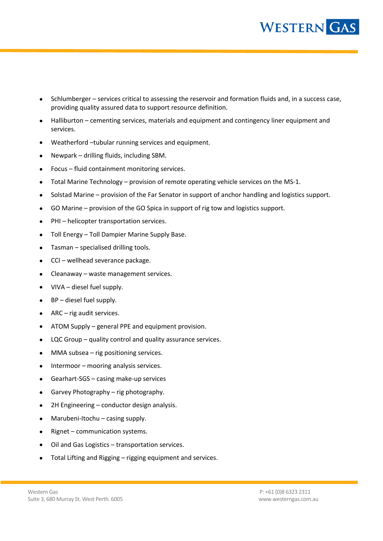

- Schlumberger services critical to assessing the reservoir and formation fluids and, in a success case, providing quality assured data to support resource definition.
- Halliburton cementing services, materials and equipment and contingency liner equipment and services.
- Weatherford –tubular running services and equipment.
- Newpark drilling fluids, including SBM.
- Focus fluid containment monitoring services.
- Total Marine Technology provision of remote operating vehicle services on the MS-1.
- Solstad Marine provision of the Far Senator in support of anchor handling and logistics support.
- GO Marine provision of the GO Spica in support of rig tow and logistics support.
- PHI helicopter transportation services.
- Toll Energy Toll Dampier Marine Supply Base.
- Tasman specialised drilling tools.
- CCI wellhead severance package.
- Cleanaway waste management services.
- VIVA diesel fuel supply.
- BP diesel fuel supply.
- ARC rig audit services.
- ATOM Supply general PPE and equipment provision.
- LQC Group quality control and quality assurance services.
- MMA subsea rig positioning services.
- Intermoor mooring analysis services.
- Gearhart-SGS casing make-up services
- Garvey Photography rig photography.
- 2H Engineering conductor design analysis.
- Marubeni-Itochu casing supply.
- Rignet communication systems.
- Oil and Gas Logistics transportation services.
- Total Lifting and Rigging rigging equipment and services.